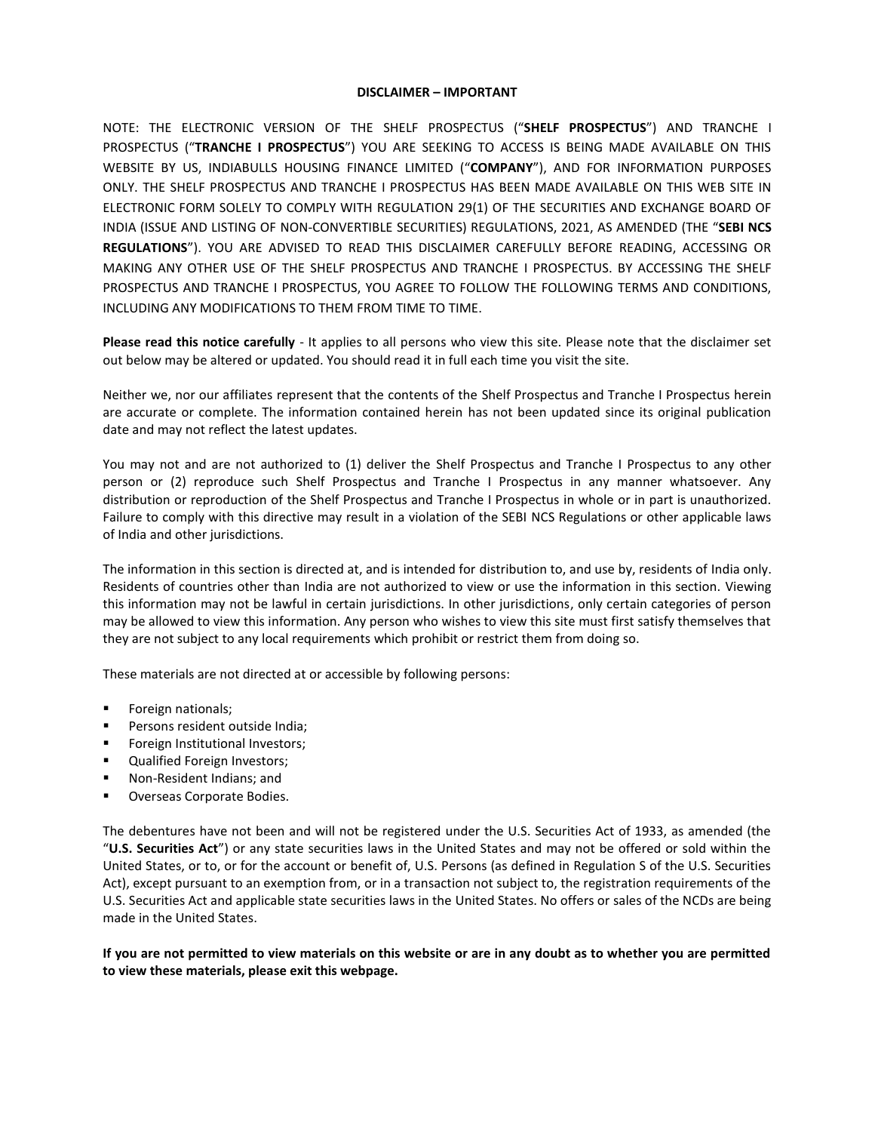## **DISCLAIMER – IMPORTANT**

NOTE: THE ELECTRONIC VERSION OF THE SHELF PROSPECTUS ("**SHELF PROSPECTUS**") AND TRANCHE I PROSPECTUS ("**TRANCHE I PROSPECTUS**") YOU ARE SEEKING TO ACCESS IS BEING MADE AVAILABLE ON THIS WEBSITE BY US, INDIABULLS HOUSING FINANCE LIMITED ("**COMPANY**"), AND FOR INFORMATION PURPOSES ONLY. THE SHELF PROSPECTUS AND TRANCHE I PROSPECTUS HAS BEEN MADE AVAILABLE ON THIS WEB SITE IN ELECTRONIC FORM SOLELY TO COMPLY WITH REGULATION 29(1) OF THE SECURITIES AND EXCHANGE BOARD OF INDIA (ISSUE AND LISTING OF NON-CONVERTIBLE SECURITIES) REGULATIONS, 2021, AS AMENDED (THE "**SEBI NCS REGULATIONS**"). YOU ARE ADVISED TO READ THIS DISCLAIMER CAREFULLY BEFORE READING, ACCESSING OR MAKING ANY OTHER USE OF THE SHELF PROSPECTUS AND TRANCHE I PROSPECTUS. BY ACCESSING THE SHELF PROSPECTUS AND TRANCHE I PROSPECTUS, YOU AGREE TO FOLLOW THE FOLLOWING TERMS AND CONDITIONS, INCLUDING ANY MODIFICATIONS TO THEM FROM TIME TO TIME.

**Please read this notice carefully** - It applies to all persons who view this site. Please note that the disclaimer set out below may be altered or updated. You should read it in full each time you visit the site.

Neither we, nor our affiliates represent that the contents of the Shelf Prospectus and Tranche I Prospectus herein are accurate or complete. The information contained herein has not been updated since its original publication date and may not reflect the latest updates.

You may not and are not authorized to (1) deliver the Shelf Prospectus and Tranche I Prospectus to any other person or (2) reproduce such Shelf Prospectus and Tranche I Prospectus in any manner whatsoever. Any distribution or reproduction of the Shelf Prospectus and Tranche I Prospectus in whole or in part is unauthorized. Failure to comply with this directive may result in a violation of the SEBI NCS Regulations or other applicable laws of India and other jurisdictions.

The information in this section is directed at, and is intended for distribution to, and use by, residents of India only. Residents of countries other than India are not authorized to view or use the information in this section. Viewing this information may not be lawful in certain jurisdictions. In other jurisdictions, only certain categories of person may be allowed to view this information. Any person who wishes to view this site must first satisfy themselves that they are not subject to any local requirements which prohibit or restrict them from doing so.

These materials are not directed at or accessible by following persons:

- Foreign nationals;
- Persons resident outside India;
- Foreign Institutional Investors;
- Qualified Foreign Investors;
- Non-Resident Indians; and
- **Overseas Corporate Bodies.**

The debentures have not been and will not be registered under the U.S. Securities Act of 1933, as amended (the "**U.S. Securities Act**") or any state securities laws in the United States and may not be offered or sold within the United States, or to, or for the account or benefit of, U.S. Persons (as defined in Regulation S of the U.S. Securities Act), except pursuant to an exemption from, or in a transaction not subject to, the registration requirements of the U.S. Securities Act and applicable state securities laws in the United States. No offers or sales of the NCDs are being made in the United States.

## **If you are not permitted to view materials on this website or are in any doubt as to whether you are permitted to view these materials, please exit this webpage.**